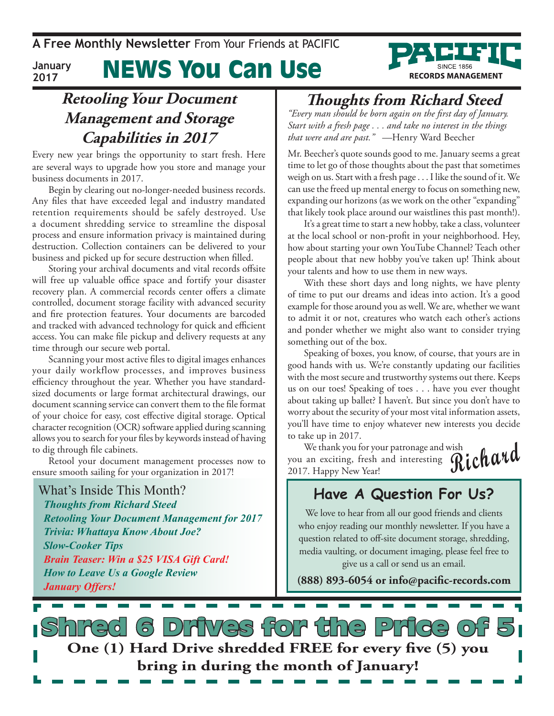News You Can Use **January 2017**

### **Retooling Your Document Management and Storage Capabilities in 2017**

Every new year brings the opportunity to start fresh. Here are several ways to upgrade how you store and manage your business documents in 2017.

Begin by clearing out no-longer-needed business records. Any files that have exceeded legal and industry mandated retention requirements should be safely destroyed. Use a document shredding service to streamline the disposal process and ensure information privacy is maintained during destruction. Collection containers can be delivered to your business and picked up for secure destruction when filled.

Storing your archival documents and vital records offsite will free up valuable office space and fortify your disaster recovery plan. A commercial records center offers a climate controlled, document storage facility with advanced security and fire protection features. Your documents are barcoded and tracked with advanced technology for quick and efficient access. You can make file pickup and delivery requests at any time through our secure web portal.

Scanning your most active files to digital images enhances your daily workflow processes, and improves business efficiency throughout the year. Whether you have standardsized documents or large format architectural drawings, our document scanning service can convert them to the file format of your choice for easy, cost effective digital storage. Optical character recognition (OCR) software applied during scanning allows you to search for your files by keywords instead of having to dig through file cabinets.

Retool your document management processes now to ensure smooth sailing for your organization in 2017!

What's Inside This Month? *Thoughts from Richard Steed Retooling Your Document Management for 2017 Trivia: Whattaya Know About Joe? Slow-Cooker Tips Brain Teaser: Win a \$25 VISA Gift Card! How to Leave Us a Google Review January Offers!*

### **Thoughts from Richard Steed**

**RECORDS MANAGEMENT** 

*"Every man should be born again on the first day of January. Start with a fresh page . . . and take no interest in the things that were and are past." —*Henry Ward Beecher

Mr. Beecher's quote sounds good to me. January seems a great time to let go of those thoughts about the past that sometimes weigh on us. Start with a fresh page . . . I like the sound of it. We can use the freed up mental energy to focus on something new, expanding our horizons (as we work on the other "expanding" that likely took place around our waistlines this past month!).

It's a great time to start a new hobby, take a class, volunteer at the local school or non-profit in your neighborhood. Hey, how about starting your own YouTube Channel? Teach other people about that new hobby you've taken up! Think about your talents and how to use them in new ways.

With these short days and long nights, we have plenty of time to put our dreams and ideas into action. It's a good example for those around you as well. We are, whether we want to admit it or not, creatures who watch each other's actions and ponder whether we might also want to consider trying something out of the box.

Speaking of boxes, you know, of course, that yours are in good hands with us. We're constantly updating our facilities with the most secure and trustworthy systems out there. Keeps us on our toes! Speaking of toes . . . have you ever thought about taking up ballet? I haven't. But since you don't have to worry about the security of your most vital information assets, you'll have time to enjoy whatever new interests you decide to take up in 2017.

**Richard** We thank you for your patronage and wish you an exciting, fresh and interesting 2017. Happy New Year!

### **Have A Question For Us?**

We love to hear from all our good friends and clients who enjoy reading our monthly newsletter. If you have a question related to off-site document storage, shredding, media vaulting, or document imaging, please feel free to give us a call or send us an email.

**(888) 893-6054 or info@pacific-records.com**

s Drives for the Price **One (1) Hard Drive shredded FREE for every five (5) you bring in during the month of January!**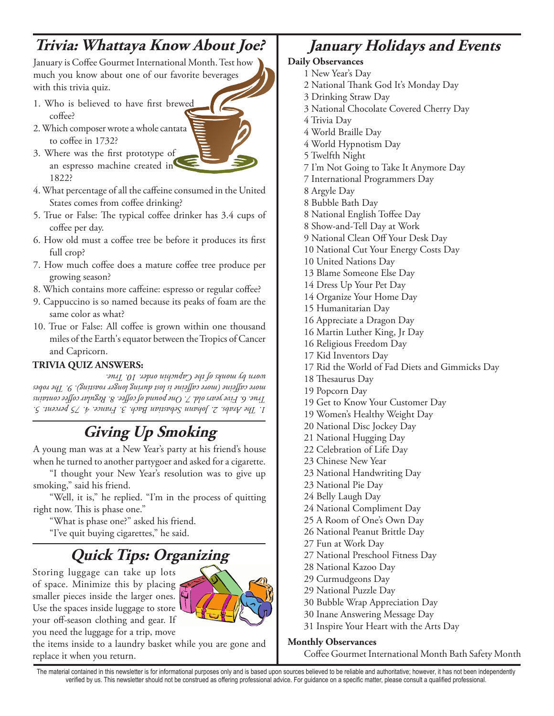## **Trivia: Whattaya Know About Joe?**

January is Coffee Gourmet International Month. Test how much you know about one of our favorite beverages with this trivia quiz.

- 1. Who is believed to have first brewed coffee?
- 2. Which composer wrote a whole cantata to coffee in 1732?
- 3. Where was the first prototype of an espresso machine created in 1822?
- 4. What percentage of all the caffeine consumed in the United States comes from coffee drinking?
- 5. True or False: The typical coffee drinker has 3.4 cups of coffee per day.
- 6. How old must a coffee tree be before it produces its first full crop?
- 7. How much coffee does a mature coffee tree produce per growing season?
- 8. Which contains more caffeine: espresso or regular coffee?
- 9. Cappuccino is so named because its peaks of foam are the same color as what?
- 10. True or False: All coffee is grown within one thousand miles of the Earth's equator between the Tropics of Cancer and Capricorn.

#### **TRIVIA QUIZ ANSWERS:**

*1. The Arabs. 2. Johann Sebastian Bach. 3. France. 4. 75 percent. 5. True. 6. Five years old. 7. One pound of coffee. 8. Regular coffee contains more caffeine (more caffeine is lost during longer roasting). 9. The robes worn by monks of the Capuchin order. 10. True.*

## **Giving Up Smoking**

A young man was at a New Year's party at his friend's house when he turned to another partygoer and asked for a cigarette.

"I thought your New Year's resolution was to give up smoking," said his friend.

"Well, it is," he replied. "I'm in the process of quitting right now. This is phase one."

"What is phase one?" asked his friend.

"I've quit buying cigarettes," he said.

# **Quick Tips: Organizing**

Storing luggage can take up lots of space. Minimize this by placing smaller pieces inside the larger ones. Use the spaces inside luggage to store your off-season clothing and gear. If you need the luggage for a trip, move



### **January Holidays and Events**

#### **Daily Observances**

- 1 New Year's Day
- 2 National Thank God It's Monday Day
- 3 Drinking Straw Day
- 3 National Chocolate Covered Cherry Day
- 4 Trivia Day
- 4 World Braille Day
- 4 World Hypnotism Day
- 5 Twelfth Night
- 7 I'm Not Going to Take It Anymore Day
- 7 International Programmers Day
- 8 Argyle Day
- 8 Bubble Bath Day
- 8 National English Toffee Day
- 8 Show-and-Tell Day at Work
- 9 National Clean Off Your Desk Day
- 10 National Cut Your Energy Costs Day
- 10 United Nations Day
- 13 Blame Someone Else Day
- 14 Dress Up Your Pet Day
- 14 Organize Your Home Day
- 15 Humanitarian Day
- 16 Appreciate a Dragon Day
- 16 Martin Luther King, Jr Day
- 16 Religious Freedom Day
- 17 Kid Inventors Day
- 17 Rid the World of Fad Diets and Gimmicks Day
- 18 Thesaurus Day
- 19 Popcorn Day
- 19 Get to Know Your Customer Day
- 19 Women's Healthy Weight Day
- 20 National Disc Jockey Day
- 21 National Hugging Day
- 22 Celebration of Life Day
- 23 Chinese New Year
- 23 National Handwriting Day
- 23 National Pie Day
- 24 Belly Laugh Day
- 24 National Compliment Day
- 25 A Room of One's Own Day
- 26 National Peanut Brittle Day
- 27 Fun at Work Day
- 27 National Preschool Fitness Day
- 28 National Kazoo Day
- 29 Curmudgeons Day
- 29 National Puzzle Day
- 30 Bubble Wrap Appreciation Day
- 30 Inane Answering Message Day
- 31 Inspire Your Heart with the Arts Day

#### **Monthly Observances**

Coffee Gourmet International Month Bath Safety Month

The material contained in this newsletter is for informational purposes only and is based upon sources believed to be reliable and authoritative; however, it has not been independently verified by us. This newsletter should not be construed as offering professional advice. For guidance on a specific matter, please consult a qualified professional.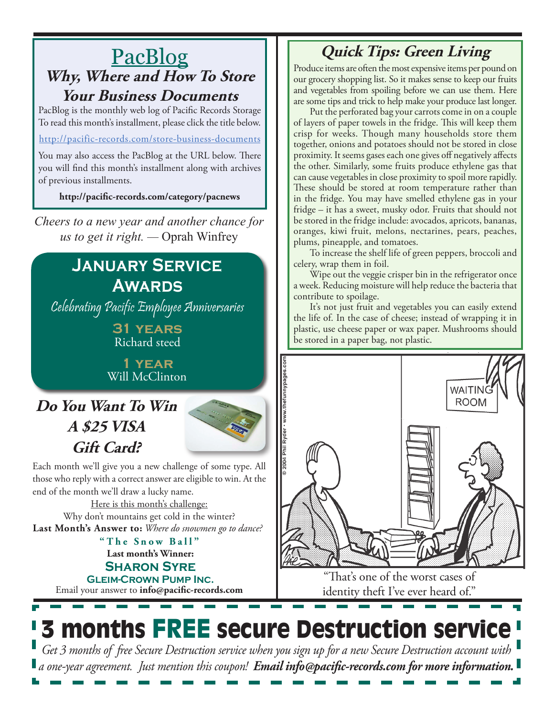### PacBlog **Why, Where and How To Store Your Business Documents**

PacBlog is the monthly web log of Pacific Records Storage To read this month's installment, please click the title below.

#### http://pacific-records.com/store-business-documents

You may also access the PacBlog at the URL below. There you will find this month's installment along with archives of previous installments.

**http://pacific-records.com/category/pacnews**

*Cheers to a new year and another chance for us to get it right. —* Oprah Winfrey

### **January Service Awards**

Celebrating Pacific Employee Anniversaries

**31 years** Richard steed

**1 year** Will McClinton

## **Do You Want To Win A \$25 VISA Gift Card?**



Each month we'll give you a new challenge of some type. All those who reply with a correct answer are eligible to win. At the end of the month we'll draw a lucky name.

Here is this month's challenge: **Last Month's Answer to:** *Where do snowmen go to dance?* Why don't mountains get cold in the winter?

> **Last month's Winner: Sharon Syre Gleim-Crown Pump Inc. "The Snow Ball"**

Email your answer to **info@pacific-records.com**

## **Quick Tips: Green Living**

Produce items are often the most expensive items per pound on our grocery shopping list. So it makes sense to keep our fruits and vegetables from spoiling before we can use them. Here are some tips and trick to help make your produce last longer.

Put the perforated bag your carrots come in on a couple of layers of paper towels in the fridge. This will keep them crisp for weeks. Though many households store them together, onions and potatoes should not be stored in close proximity. It seems gases each one gives off negatively affects the other. Similarly, some fruits produce ethylene gas that can cause vegetables in close proximity to spoil more rapidly. These should be stored at room temperature rather than in the fridge. You may have smelled ethylene gas in your fridge – it has a sweet, musky odor. Fruits that should not be stored in the fridge include: avocados, apricots, bananas, oranges, kiwi fruit, melons, nectarines, pears, peaches, plums, pineapple, and tomatoes.

To increase the shelf life of green peppers, broccoli and celery, wrap them in foil.

Wipe out the veggie crisper bin in the refrigerator once a week. Reducing moisture will help reduce the bacteria that contribute to spoilage.

It's not just fruit and vegetables you can easily extend the life of. In the case of cheese; instead of wrapping it in plastic, use cheese paper or wax paper. Mushrooms should be stored in a paper bag, not plastic.



"That's one of the worst cases of identity theft I've ever heard of."

# **3 months FREE secure Destruction service** *Get 3 months of free Secure Destruction service when you sign up for a new Secure Destruction account with*

*a one-year agreement. Just mention this coupon! Email info@pacific-records.com for more information.*